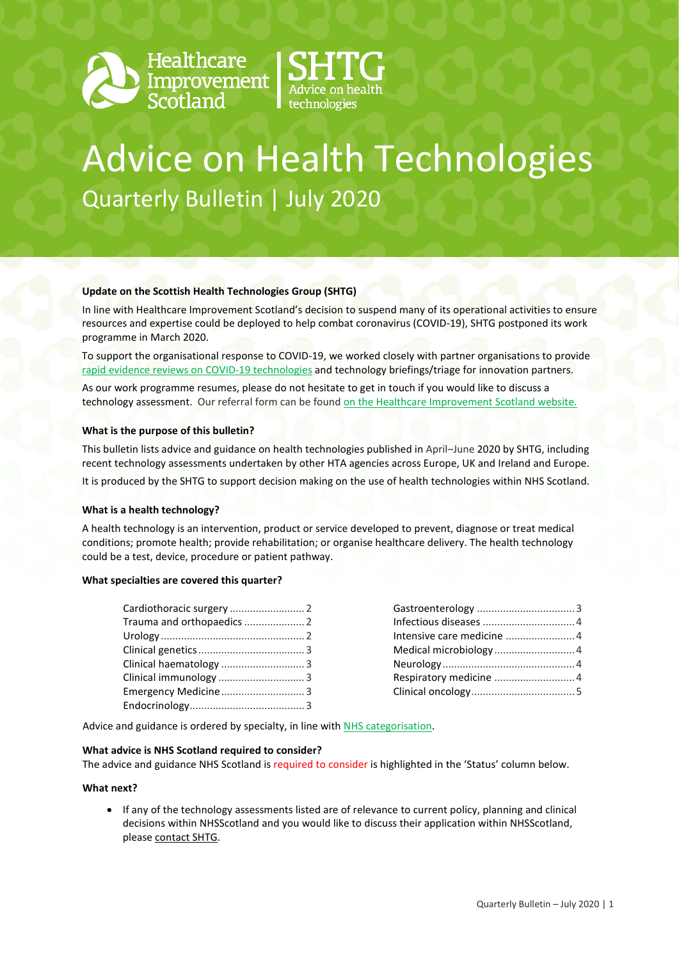



# Advice on Health Technologies Quarterly Bulletin | July 2020

### **Update on the Scottish Health Technologies Group (SHTG)**

In line with Healthcare Improvement Scotland's decision to suspend many of its operational activities to ensure resources and expertise could be deployed to help combat coronavirus (COVID-19), SHTG postponed its work programme in March 2020.

To support the organisational response to COVID-19, we worked closely with partner organisations to provide [rapid evidence reviews on COVID-19 technologies](http://www.healthcareimprovementscotland.org/our_work/coronavirus_covid-19/evidence_for_scotland.aspx) and technology briefings/triage for innovation partners.

As our work programme resumes, please do not hesitate to get in touch if you would like to discuss a technology assessment. Our referral form can be found [on the Healthcare Improvement Scotland website.](http://www.healthcareimprovementscotland.org/our_work/technologies_and_medicines/shtg/refer_a_technology.aspx) 

### **What is the purpose of this bulletin?**

This bulletin lists advice and guidance on health technologies published in April–June 2020 by SHTG, including recent technology assessments undertaken by other HTA agencies across Europe, UK and Ireland and Europe. It is produced by the SHTG to support decision making on the use of health technologies within NHS Scotland.

### **What is a health technology?**

A health technology is an intervention, product or service developed to prevent, diagnose or treat medical conditions; promote health; provide rehabilitation; or organise healthcare delivery. The health technology could be a test, device, procedure or patient pathway.

### **What specialties are covered this quarter?**

| Trauma and orthopaedics  2 |  |
|----------------------------|--|
|                            |  |
|                            |  |
| Clinical haematology 3     |  |
| Clinical immunology 3      |  |
| Emergency Medicine3        |  |
|                            |  |

| Intensive care medicine  4 |  |
|----------------------------|--|
|                            |  |
|                            |  |
|                            |  |
|                            |  |
|                            |  |

Advice and guidance is ordered by specialty, in line wit[h NHS categorisation.](https://www.datadictionary.nhs.uk/web_site_content/supporting_information/main_specialty_and_treatment_function_codes_table.asp)

### **What advice is NHS Scotland required to consider?**

The advice and guidance NHS Scotland is required to consider is highlighted in the 'Status' column below.

### **What next?**

• If any of the technology assessments listed are of relevance to current policy, planning and clinical decisions within NHSScotland and you would like to discuss their application within NHSScotland, please [contact SHTG.](mailto:hcis.shtg@nhs.net)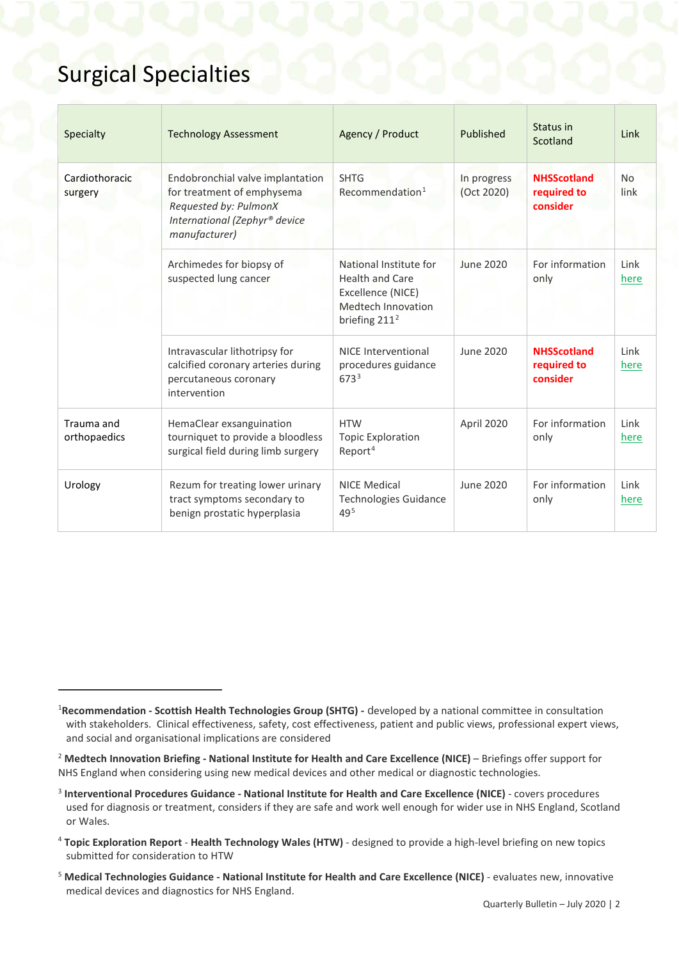### Surgical Specialties

<span id="page-1-8"></span><span id="page-1-5"></span>1

<span id="page-1-7"></span><span id="page-1-6"></span>

| Specialty                  | <b>Technology Assessment</b>                                                                                                              | Agency / Product                                                                                               | Published                 | Status in<br>Scotland                         | Link              |
|----------------------------|-------------------------------------------------------------------------------------------------------------------------------------------|----------------------------------------------------------------------------------------------------------------|---------------------------|-----------------------------------------------|-------------------|
| Cardiothoracic<br>surgery  | Endobronchial valve implantation<br>for treatment of emphysema<br>Requested by: PulmonX<br>International (Zephyr® device<br>manufacturer) | <b>SHTG</b><br>Recommendation <sup>1</sup>                                                                     | In progress<br>(Oct 2020) | <b>NHSScotland</b><br>required to<br>consider | <b>No</b><br>link |
|                            | Archimedes for biopsy of<br>suspected lung cancer                                                                                         | National Institute for<br><b>Health and Care</b><br>Excellence (NICE)<br>Medtech Innovation<br>briefing $2112$ | June 2020                 | For information<br>only                       | Link<br>here      |
|                            | Intravascular lithotripsy for<br>calcified coronary arteries during<br>percutaneous coronary<br>intervention                              | NICE Interventional<br>procedures guidance<br>6733                                                             | June 2020                 | <b>NHSScotland</b><br>required to<br>consider | Link<br>here      |
| Trauma and<br>orthopaedics | HemaClear exsanguination<br>tourniquet to provide a bloodless<br>surgical field during limb surgery                                       | <b>HTW</b><br><b>Topic Exploration</b><br>Report <sup>4</sup>                                                  | April 2020                | For information<br>only                       | Link<br>here      |
| Urology                    | Rezum for treating lower urinary<br>tract symptoms secondary to<br>benign prostatic hyperplasia                                           | <b>NICE Medical</b><br><b>Technologies Guidance</b><br>$49^{5}$                                                | June 2020                 | For information<br>only                       | Link<br>here      |

<span id="page-1-0"></span><sup>1</sup> **Recommendation - Scottish Health Technologies Group (SHTG) -** developed by a national committee in consultation with stakeholders. Clinical effectiveness, safety, cost effectiveness, patient and public views, professional expert views, and social and organisational implications are considered

<span id="page-1-1"></span><sup>2</sup> **Medtech Innovation Briefing - National Institute for Health and Care Excellence (NICE)** – Briefings offer support for NHS England when considering using new medical devices and other medical or diagnostic technologies.

<span id="page-1-2"></span><sup>3</sup> **Interventional Procedures Guidance - National Institute for Health and Care Excellence (NICE)** - covers procedures used for diagnosis or treatment, considers if they are safe and work well enough for wider use in NHS England, Scotland or Wales.

<span id="page-1-3"></span><sup>4</sup> **Topic Exploration Report** - **Health Technology Wales (HTW)** - designed to provide a high-level briefing on new topics submitted for consideration to HTW

<span id="page-1-4"></span><sup>5</sup> **Medical Technologies Guidance - National Institute for Health and Care Excellence (NICE)** - evaluates new, innovative medical devices and diagnostics for NHS England.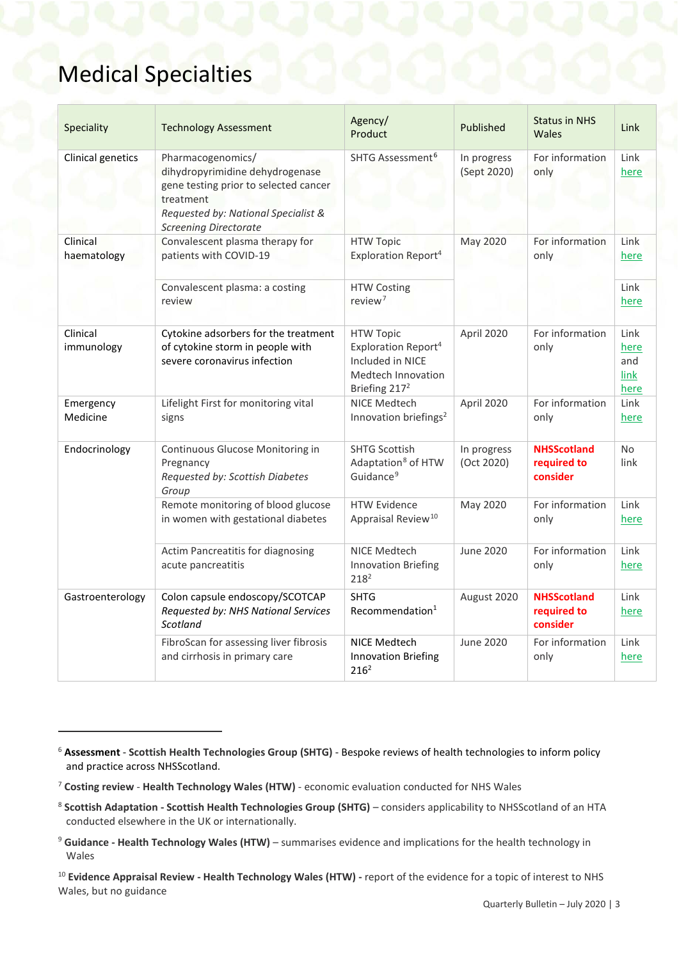### Medical Specialties

<span id="page-2-6"></span>1

<span id="page-2-5"></span>

| Speciality              | <b>Technology Assessment</b>                                                                                                                                                      | Agency/<br>Product                                                                                                         | Published                  | <b>Status in NHS</b><br>Wales                 | Link                                |
|-------------------------|-----------------------------------------------------------------------------------------------------------------------------------------------------------------------------------|----------------------------------------------------------------------------------------------------------------------------|----------------------------|-----------------------------------------------|-------------------------------------|
| Clinical genetics       | Pharmacogenomics/<br>dihydropyrimidine dehydrogenase<br>gene testing prior to selected cancer<br>treatment<br>Requested by: National Specialist &<br><b>Screening Directorate</b> | SHTG Assessment <sup>6</sup>                                                                                               | In progress<br>(Sept 2020) | For information<br>only                       | Link<br>here                        |
| Clinical<br>haematology | Convalescent plasma therapy for<br>patients with COVID-19                                                                                                                         | <b>HTW Topic</b><br>Exploration Report <sup>4</sup>                                                                        | <b>May 2020</b>            | For information<br>only                       | Link<br>here                        |
|                         | Convalescent plasma: a costing<br>review                                                                                                                                          | <b>HTW Costing</b><br>review <sup>7</sup>                                                                                  |                            |                                               | Link<br>here                        |
| Clinical<br>immunology  | Cytokine adsorbers for the treatment<br>of cytokine storm in people with<br>severe coronavirus infection                                                                          | <b>HTW Topic</b><br>Exploration Report <sup>4</sup><br>Included in NICE<br>Medtech Innovation<br>Briefing 217 <sup>2</sup> | April 2020                 | For information<br>only                       | Link<br>here<br>and<br>link<br>here |
| Emergency<br>Medicine   | Lifelight First for monitoring vital<br>signs                                                                                                                                     | NICE Medtech<br>Innovation briefings <sup>2</sup>                                                                          | April 2020                 | For information<br>only                       | Link<br>here                        |
| Endocrinology           | Continuous Glucose Monitoring in<br>Pregnancy<br>Requested by: Scottish Diabetes<br>Group                                                                                         | <b>SHTG Scottish</b><br>Adaptation <sup>8</sup> of HTW<br>Guidance <sup>9</sup>                                            | In progress<br>(Oct 2020)  | <b>NHSScotland</b><br>required to<br>consider | <b>No</b><br>link                   |
|                         | Remote monitoring of blood glucose<br>in women with gestational diabetes                                                                                                          | <b>HTW Evidence</b><br>Appraisal Review <sup>10</sup>                                                                      | May 2020                   | For information<br>only                       | Link<br>here                        |
|                         | Actim Pancreatitis for diagnosing<br>acute pancreatitis                                                                                                                           | <b>NICE Medtech</b><br><b>Innovation Briefing</b><br>$218^2$                                                               | <b>June 2020</b>           | For information<br>only                       | Link<br>here                        |
| Gastroenterology        | Colon capsule endoscopy/SCOTCAP<br>Requested by: NHS National Services<br>Scotland                                                                                                | <b>SHTG</b><br>Recommendation <sup>1</sup>                                                                                 | August 2020                | <b>NHSScotland</b><br>required to<br>consider | Link<br>here                        |
|                         | FibroScan for assessing liver fibrosis<br>and cirrhosis in primary care                                                                                                           | <b>NICE Medtech</b><br><b>Innovation Briefing</b><br>216 <sup>2</sup>                                                      | June 2020                  | For information<br>only                       | Link<br>here                        |

<span id="page-2-0"></span><sup>6</sup> **Assessment** - **Scottish Health Technologies Group (SHTG)** - Bespoke reviews of health technologies to inform policy and practice across NHSScotland.

<span id="page-2-1"></span><sup>7</sup> **Costing review** - **Health Technology Wales (HTW)** - economic evaluation conducted for NHS Wales

<span id="page-2-2"></span><sup>8</sup> **Scottish Adaptation - Scottish Health Technologies Group (SHTG)** – considers applicability to NHSScotland of an HTA conducted elsewhere in the UK or internationally.

<span id="page-2-3"></span><sup>9</sup> **Guidance - Health Technology Wales (HTW)** – summarises evidence and implications for the health technology in Wales

<span id="page-2-4"></span><sup>10</sup> **Evidence Appraisal Review - Health Technology Wales (HTW) -** report of the evidence for a topic of interest to NHS Wales, but no guidance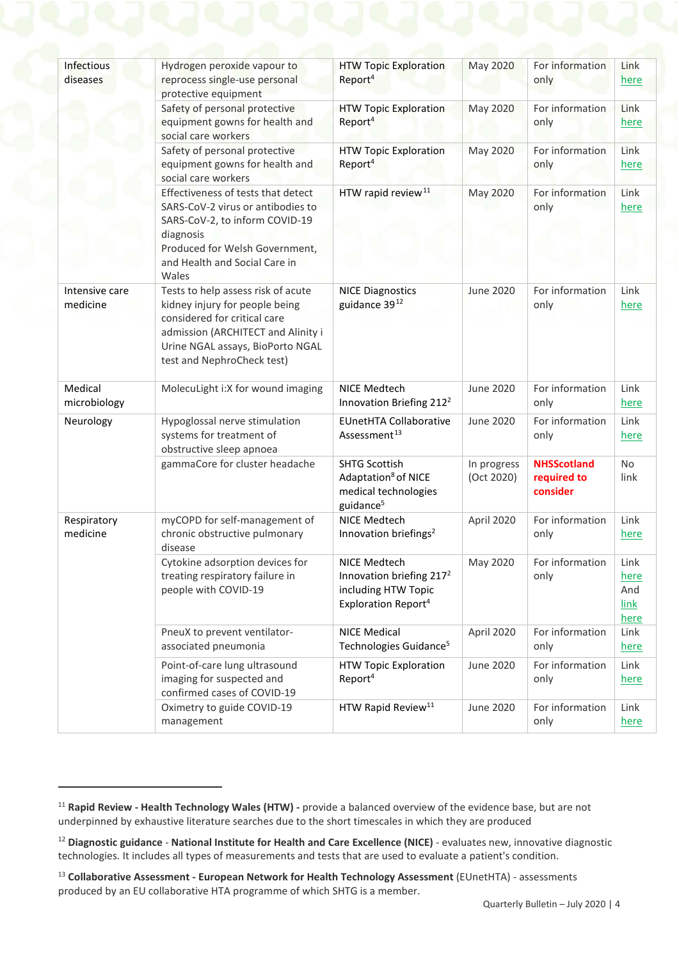<span id="page-3-0"></span>

| Infectious<br>diseases     | Hydrogen peroxide vapour to<br>reprocess single-use personal<br>protective equipment                                                                                                                         | <b>HTW Topic Exploration</b><br>Report <sup>4</sup>                                                            | <b>May 2020</b>           | For information<br>only                       | Link<br>here                               |
|----------------------------|--------------------------------------------------------------------------------------------------------------------------------------------------------------------------------------------------------------|----------------------------------------------------------------------------------------------------------------|---------------------------|-----------------------------------------------|--------------------------------------------|
|                            | Safety of personal protective<br>equipment gowns for health and<br>social care workers                                                                                                                       | <b>HTW Topic Exploration</b><br>Report <sup>4</sup>                                                            | <b>May 2020</b>           | For information<br>only                       | Link<br><u>here</u>                        |
|                            | Safety of personal protective<br>equipment gowns for health and<br>social care workers                                                                                                                       | <b>HTW Topic Exploration</b><br>Report <sup>4</sup>                                                            | <b>May 2020</b>           | For information<br>only                       | Link<br><u>here</u>                        |
|                            | Effectiveness of tests that detect<br>SARS-CoV-2 virus or antibodies to<br>SARS-CoV-2, to inform COVID-19<br>diagnosis<br>Produced for Welsh Government,<br>and Health and Social Care in<br>Wales           | HTW rapid review <sup>11</sup>                                                                                 | <b>May 2020</b>           | For information<br>only                       | Link<br>here                               |
| Intensive care<br>medicine | Tests to help assess risk of acute<br>kidney injury for people being<br>considered for critical care<br>admission (ARCHITECT and Alinity i<br>Urine NGAL assays, BioPorto NGAL<br>test and NephroCheck test) | <b>NICE Diagnostics</b><br>guidance 3912                                                                       | <b>June 2020</b>          | For information<br>only                       | Link<br><u>here</u>                        |
| Medical<br>microbiology    | MolecuLight i:X for wound imaging                                                                                                                                                                            | NICE Medtech<br>Innovation Briefing 212 <sup>2</sup>                                                           | June 2020                 | For information<br>only                       | Link<br>here                               |
| Neurology                  | Hypoglossal nerve stimulation<br>systems for treatment of<br>obstructive sleep apnoea                                                                                                                        | <b>EUnetHTA Collaborative</b><br>Assessment <sup>13</sup>                                                      | <b>June 2020</b>          | For information<br>only                       | Link<br><u>here</u>                        |
|                            | gammaCore for cluster headache                                                                                                                                                                               | <b>SHTG Scottish</b><br>Adaptation <sup>8</sup> of NICE<br>medical technologies<br>guidance <sup>5</sup>       | In progress<br>(Oct 2020) | <b>NHSScotland</b><br>required to<br>consider | No<br>link                                 |
| Respiratory<br>medicine    | myCOPD for self-management of<br>chronic obstructive pulmonary<br>disease                                                                                                                                    | NICE Medtech<br>Innovation briefings <sup>2</sup>                                                              | April 2020                | For information<br>only                       | Link<br>here                               |
|                            | Cytokine adsorption devices for<br>treating respiratory failure in<br>people with COVID-19                                                                                                                   | NICE Medtech<br>Innovation briefing 217 <sup>2</sup><br>including HTW Topic<br>Exploration Report <sup>4</sup> | May 2020                  | For information<br>only                       | Link<br>here<br>And<br><b>link</b><br>here |
|                            | PneuX to prevent ventilator-<br>associated pneumonia                                                                                                                                                         | <b>NICE Medical</b><br>Technologies Guidance <sup>5</sup>                                                      | April 2020                | For information<br>only                       | Link<br>here                               |
|                            | Point-of-care lung ultrasound<br>imaging for suspected and<br>confirmed cases of COVID-19                                                                                                                    | <b>HTW Topic Exploration</b><br>Report <sup>4</sup>                                                            | June 2020                 | For information<br>only                       | Link<br>here                               |
|                            | Oximetry to guide COVID-19<br>management                                                                                                                                                                     | HTW Rapid Review <sup>11</sup>                                                                                 | June 2020                 | For information<br>only                       | Link<br>here                               |

<span id="page-3-4"></span>1

<span id="page-3-1"></span><sup>11</sup> **Rapid Review - Health Technology Wales (HTW) -** provide a balanced overview of the evidence base, but are not underpinned by exhaustive literature searches due to the short timescales in which they are produced

<span id="page-3-2"></span><sup>12</sup> **Diagnostic guidance** - **National Institute for Health and Care Excellence (NICE)** - evaluates new, innovative diagnostic technologies. It includes all types of measurements and tests that are used to evaluate a patient's condition.

<span id="page-3-3"></span><sup>13</sup> **Collaborative Assessment - European Network for Health Technology Assessment** (EUnetHTA) - assessments produced by an EU collaborative HTA programme of which SHTG is a member.